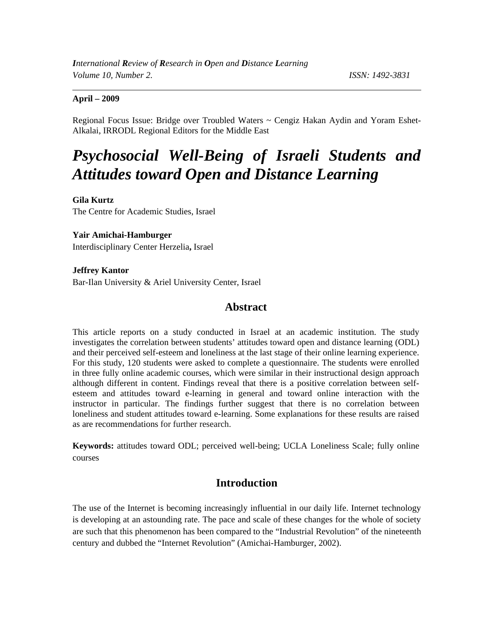#### **April – 2009**

Regional Focus Issue: Bridge over Troubled Waters ~ Cengiz Hakan Aydin and Yoram Eshet-Alkalai, IRRODL Regional Editors for the Middle East

# *Psychosocial Well-Being of Israeli Students and Attitudes toward Open and Distance Learning*

**Gila Kurtz**  The Centre for Academic Studies, Israel

#### **Yair Amichai-Hamburger**

Interdisciplinary Center Herzelia**,** Israel

#### **Jeffrey Kantor**  Bar-Ilan University & Ariel University Center, Israel

### **Abstract**

This article reports on a study conducted in Israel at an academic institution. The study investigates the correlation between students' attitudes toward open and distance learning (ODL) and their perceived self-esteem and loneliness at the last stage of their online learning experience. For this study, 120 students were asked to complete a questionnaire. The students were enrolled in three fully online academic courses, which were similar in their instructional design approach although different in content. Findings reveal that there is a positive correlation between selfesteem and attitudes toward e-learning in general and toward online interaction with the instructor in particular. The findings further suggest that there is no correlation between loneliness and student attitudes toward e-learning. Some explanations for these results are raised as are recommendations for further research.

**Keywords:** attitudes toward ODL; perceived well-being; UCLA Loneliness Scale; fully online courses

### **Introduction**

The use of the Internet is becoming increasingly influential in our daily life. Internet technology is developing at an astounding rate. The pace and scale of these changes for the whole of society are such that this phenomenon has been compared to the "Industrial Revolution" of the nineteenth century and dubbed the "Internet Revolution" (Amichai-Hamburger, 2002).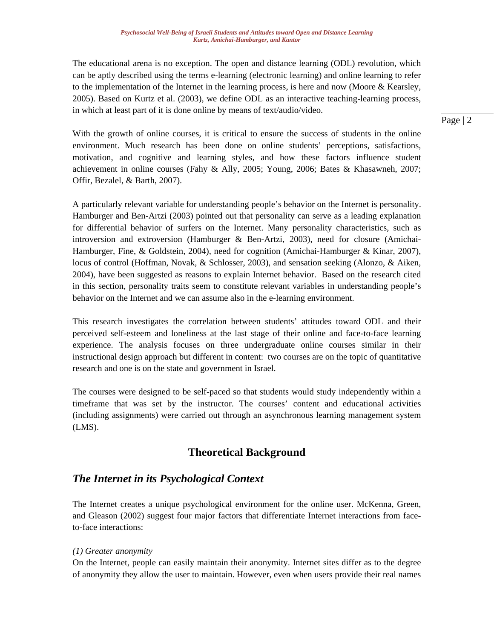The educational arena is no exception. The open and distance learning (ODL) revolution, which can be aptly described using the terms e-learning (electronic learning) and online learning to refer to the implementation of the Internet in the learning process, is here and now (Moore & Kearsley, 2005). Based on Kurtz et al. (2003), we define ODL as an interactive teaching-learning process, in which at least part of it is done online by means of text/audio/video.

With the growth of online courses, it is critical to ensure the success of students in the online environment. Much research has been done on online students' perceptions, satisfactions, motivation, and cognitive and learning styles, and how these factors influence student achievement in online courses (Fahy & Ally, 2005; Young, 2006; Bates & Khasawneh, 2007; Offir, Bezalel, & Barth, 2007).

A particularly relevant variable for understanding people's behavior on the Internet is personality. Hamburger and Ben-Artzi (2003) pointed out that personality can serve as a leading explanation for differential behavior of surfers on the Internet. Many personality characteristics, such as introversion and extroversion (Hamburger & Ben-Artzi, 2003), need for closure (Amichai-Hamburger, Fine, & Goldstein, 2004), need for cognition (Amichai-Hamburger & Kinar, 2007), locus of control (Hoffman, Novak, & Schlosser, 2003), and sensation seeking (Alonzo, & Aiken, 2004), have been suggested as reasons to explain Internet behavior. Based on the research cited in this section, personality traits seem to constitute relevant variables in understanding people's behavior on the Internet and we can assume also in the e-learning environment.

This research investigates the correlation between students' attitudes toward ODL and their perceived self-esteem and loneliness at the last stage of their online and face-to-face learning experience. The analysis focuses on three undergraduate online courses similar in their instructional design approach but different in content: two courses are on the topic of quantitative research and one is on the state and government in Israel.

The courses were designed to be self-paced so that students would study independently within a timeframe that was set by the instructor. The courses' content and educational activities (including assignments) were carried out through an asynchronous learning management system (LMS).

# **Theoretical Background**

# *The Internet in its Psychological Context*

The Internet creates a unique psychological environment for the online user. McKenna, Green, and Gleason (2002) suggest four major factors that differentiate Internet interactions from faceto-face interactions:

#### *(1) Greater anonymity*

On the Internet, people can easily maintain their anonymity. Internet sites differ as to the degree of anonymity they allow the user to maintain. However, even when users provide their real names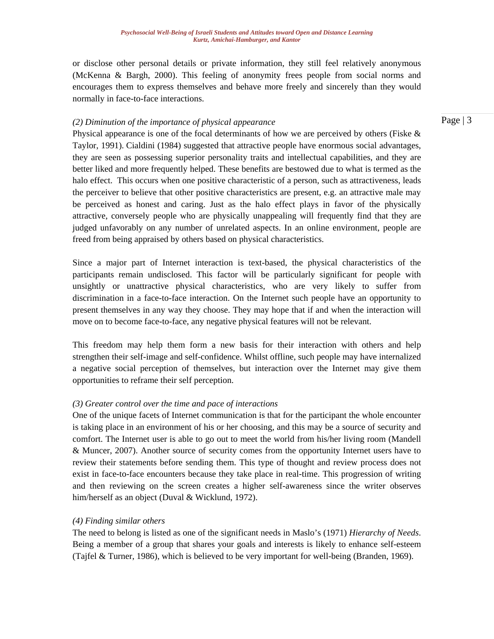or disclose other personal details or private information, they still feel relatively anonymous (McKenna & Bargh, 2000). This feeling of anonymity frees people from social norms and encourages them to express themselves and behave more freely and sincerely than they would normally in face-to-face interactions.

#### *(2) Diminution of the importance of physical appearance*

Physical appearance is one of the focal determinants of how we are perceived by others (Fiske  $\&$ Taylor, 1991). Cialdini (1984) suggested that attractive people have enormous social advantages, they are seen as possessing superior personality traits and intellectual capabilities, and they are better liked and more frequently helped. These benefits are bestowed due to what is termed as the halo effect. This occurs when one positive characteristic of a person, such as attractiveness, leads the perceiver to believe that other positive characteristics are present, e.g. an attractive male may be perceived as honest and caring. Just as the halo effect plays in favor of the physically attractive, conversely people who are physically unappealing will frequently find that they are judged unfavorably on any number of unrelated aspects. In an online environment, people are freed from being appraised by others based on physical characteristics.

Since a major part of Internet interaction is text-based, the physical characteristics of the participants remain undisclosed. This factor will be particularly significant for people with unsightly or unattractive physical characteristics, who are very likely to suffer from discrimination in a face-to-face interaction. On the Internet such people have an opportunity to present themselves in any way they choose. They may hope that if and when the interaction will move on to become face-to-face, any negative physical features will not be relevant.

This freedom may help them form a new basis for their interaction with others and help strengthen their self-image and self-confidence. Whilst offline, such people may have internalized a negative social perception of themselves, but interaction over the Internet may give them opportunities to reframe their self perception.

#### *(3) Greater control over the time and pace of interactions*

One of the unique facets of Internet communication is that for the participant the whole encounter is taking place in an environment of his or her choosing, and this may be a source of security and comfort. The Internet user is able to go out to meet the world from his/her living room (Mandell & Muncer, 2007). Another source of security comes from the opportunity Internet users have to review their statements before sending them. This type of thought and review process does not exist in face-to-face encounters because they take place in real-time. This progression of writing and then reviewing on the screen creates a higher self-awareness since the writer observes him/herself as an object (Duval & Wicklund, 1972).

#### *(4) Finding similar others*

The need to belong is listed as one of the significant needs in Maslo's (1971) *Hierarchy of Needs*. Being a member of a group that shares your goals and interests is likely to enhance self-esteem (Tajfel & Turner, 1986), which is believed to be very important for well-being (Branden, 1969).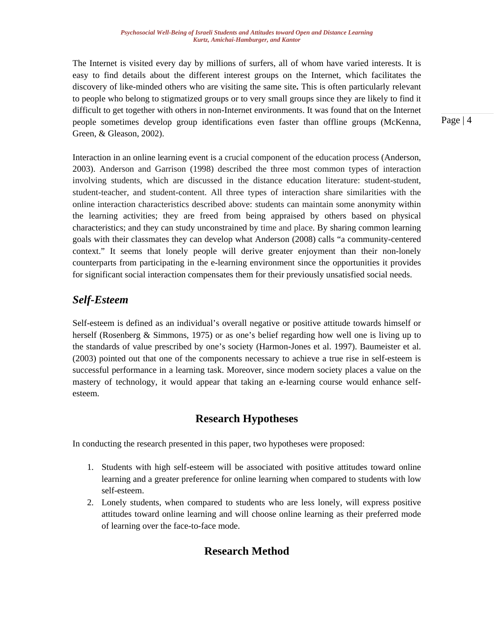The Internet is visited every day by millions of surfers, all of whom have varied interests. It is easy to find details about the different interest groups on the Internet, which facilitates the discovery of like-minded others who are visiting the same site**.** This is often particularly relevant to people who belong to stigmatized groups or to very small groups since they are likely to find it difficult to get together with others in non-Internet environments. It was found that on the Internet people sometimes develop group identifications even faster than offline groups (McKenna, Green, & Gleason, 2002).

Interaction in an online learning event is a crucial component of the education process (Anderson, 2003). Anderson and Garrison (1998) described the three most common types of interaction involving students, which are discussed in the distance education literature: student-student, student-teacher, and student-content. All three types of interaction share similarities with the online interaction characteristics described above: students can maintain some anonymity within the learning activities; they are freed from being appraised by others based on physical characteristics; and they can study unconstrained by time and place. By sharing common learning goals with their classmates they can develop what Anderson (2008) calls "a community-centered context." It seems that lonely people will derive greater enjoyment than their non-lonely counterparts from participating in the e-learning environment since the opportunities it provides for significant social interaction compensates them for their previously unsatisfied social needs.

# *Self-Esteem*

Self-esteem is defined as an individual's overall negative or positive attitude towards himself or herself (Rosenberg & Simmons, 1975) or as one's belief regarding how well one is living up to the standards of value prescribed by one's society (Harmon-Jones et al. 1997). Baumeister et al. (2003) pointed out that one of the components necessary to achieve a true rise in self-esteem is successful performance in a learning task. Moreover, since modern society places a value on the mastery of technology, it would appear that taking an e-learning course would enhance selfesteem.

# **Research Hypotheses**

In conducting the research presented in this paper, two hypotheses were proposed:

- 1. Students with high self-esteem will be associated with positive attitudes toward online learning and a greater preference for online learning when compared to students with low self-esteem.
- 2. Lonely students, when compared to students who are less lonely, will express positive attitudes toward online learning and will choose online learning as their preferred mode of learning over the face-to-face mode.

# **Research Method**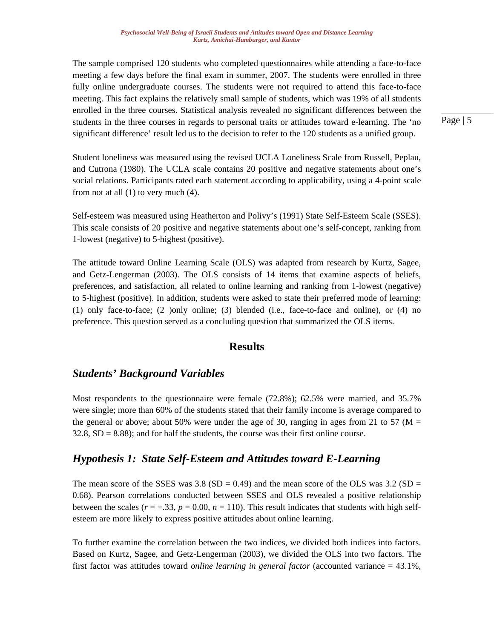The sample comprised 120 students who completed questionnaires while attending a face-to-face meeting a few days before the final exam in summer, 2007. The students were enrolled in three fully online undergraduate courses. The students were not required to attend this face-to-face meeting. This fact explains the relatively small sample of students, which was 19% of all students enrolled in the three courses. Statistical analysis revealed no significant differences between the students in the three courses in regards to personal traits or attitudes toward e-learning. The 'no significant difference' result led us to the decision to refer to the 120 students as a unified group.

Page | 5

Student loneliness was measured using the revised UCLA Loneliness Scale from Russell, Peplau, and Cutrona (1980). The UCLA scale contains 20 positive and negative statements about one's social relations. Participants rated each statement according to applicability, using a 4-point scale from not at all (1) to very much (4).

Self-esteem was measured using Heatherton and Polivy's (1991) State Self-Esteem Scale (SSES). This scale consists of 20 positive and negative statements about one's self-concept, ranking from 1-lowest (negative) to 5-highest (positive).

The attitude toward Online Learning Scale (OLS) was adapted from research by Kurtz, Sagee, and Getz-Lengerman (2003). The OLS consists of 14 items that examine aspects of beliefs, preferences, and satisfaction, all related to online learning and ranking from 1-lowest (negative) to 5-highest (positive). In addition, students were asked to state their preferred mode of learning: (1) only face-to-face; (2 )only online; (3) blended (i.e., face-to-face and online), or (4) no preference. This question served as a concluding question that summarized the OLS items.

### **Results**

### *Students' Background Variables*

Most respondents to the questionnaire were female (72.8%); 62.5% were married, and 35.7% were single; more than 60% of the students stated that their family income is average compared to the general or above; about 50% were under the age of 30, ranging in ages from 21 to 57 ( $M =$  $32.8$ ,  $SD = 8.88$ ); and for half the students, the course was their first online course.

### *Hypothesis 1: State Self-Esteem and Attitudes toward E-Learning*

The mean score of the SSES was  $3.8$  (SD = 0.49) and the mean score of the OLS was  $3.2$  (SD = 0.68). Pearson correlations conducted between SSES and OLS revealed a positive relationship between the scales ( $r = +0.33$ ,  $p = 0.00$ ,  $n = 110$ ). This result indicates that students with high selfesteem are more likely to express positive attitudes about online learning.

To further examine the correlation between the two indices, we divided both indices into factors. Based on Kurtz, Sagee, and Getz-Lengerman (2003), we divided the OLS into two factors. The first factor was attitudes toward *online learning in general factor* (accounted variance = 43.1%,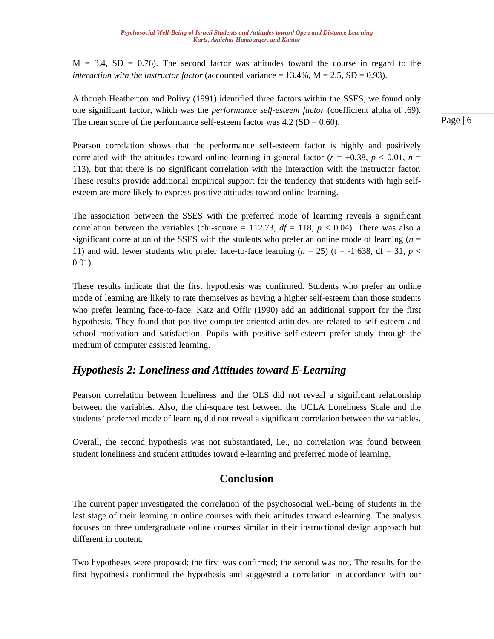$M = 3.4$ ,  $SD = 0.76$ ). The second factor was attitudes toward the course in regard to the *interaction with the instructor factor* (accounted variance  $= 13.4\%$ ,  $M = 2.5$ ,  $SD = 0.93$ ).

Although Heatherton and Polivy (1991) identified three factors within the SSES, we found only one significant factor, which was the *performance self-esteem factor* (coefficient alpha of .69). The mean score of the performance self-esteem factor was  $4.2$  (SD = 0.60).

Pearson correlation shows that the performance self-esteem factor is highly and positively correlated with the attitudes toward online learning in general factor  $(r = +0.38, p < 0.01, n =$ 113), but that there is no significant correlation with the interaction with the instructor factor. These results provide additional empirical support for the tendency that students with high selfesteem are more likely to express positive attitudes toward online learning.

The association between the SSES with the preferred mode of learning reveals a significant correlation between the variables (chi-square  $= 112.73$ ,  $df = 118$ ,  $p < 0.04$ ). There was also a significant correlation of the SSES with the students who prefer an online mode of learning  $(n = 1)$ 11) and with fewer students who prefer face-to-face learning  $(n = 25)$  ( $t = -1.638$ ,  $df = 31$ ,  $p <$ 0.01).

These results indicate that the first hypothesis was confirmed. Students who prefer an online mode of learning are likely to rate themselves as having a higher self-esteem than those students who prefer learning face-to-face. Katz and Offir (1990) add an additional support for the first hypothesis. They found that positive computer-oriented attitudes are related to self-esteem and school motivation and satisfaction. Pupils with positive self-esteem prefer study through the medium of computer assisted learning.

# *Hypothesis 2: Loneliness and Attitudes toward E-Learning*

Pearson correlation between loneliness and the OLS did not reveal a significant relationship between the variables. Also, the chi-square test between the UCLA Loneliness Scale and the students' preferred mode of learning did not reveal a significant correlation between the variables.

Overall, the second hypothesis was not substantiated, i.e., no correlation was found between student loneliness and student attitudes toward e-learning and preferred mode of learning.

# **Conclusion**

The current paper investigated the correlation of the psychosocial well-being of students in the last stage of their learning in online courses with their attitudes toward e-learning. The analysis focuses on three undergraduate online courses similar in their instructional design approach but different in content.

Two hypotheses were proposed: the first was confirmed; the second was not. The results for the first hypothesis confirmed the hypothesis and suggested a correlation in accordance with our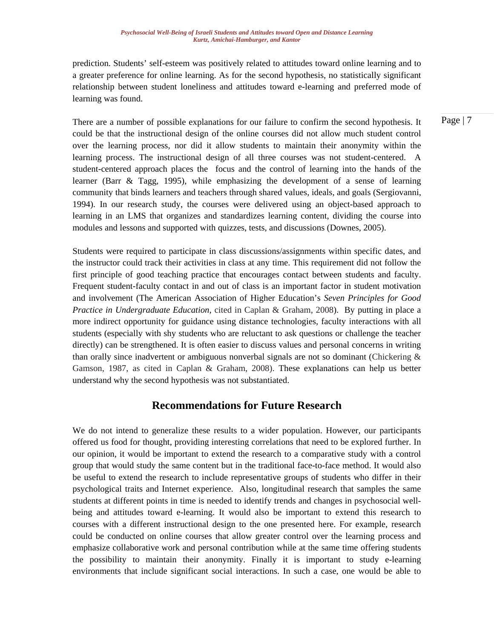prediction. Students' self-esteem was positively related to attitudes toward online learning and to a greater preference for online learning. As for the second hypothesis, no statistically significant relationship between student loneliness and attitudes toward e-learning and preferred mode of learning was found.

There are a number of possible explanations for our failure to confirm the second hypothesis. It could be that the instructional design of the online courses did not allow much student control over the learning process, nor did it allow students to maintain their anonymity within the learning process. The instructional design of all three courses was not student-centered. A student-centered approach places the focus and the control of learning into the hands of the learner (Barr & Tagg, 1995), while emphasizing the development of a sense of learning community that binds learners and teachers through shared values, ideals, and goals (Sergiovanni, 1994). In our research study, the courses were delivered using an object-based approach to learning in an LMS that organizes and standardizes learning content, dividing the course into modules and lessons and supported with quizzes, tests, and discussions (Downes, 2005).

Students were required to participate in class discussions/assignments within specific dates, and the instructor could track their activities in class at any time. This requirement did not follow the first principle of good teaching practice that encourages contact between students and faculty. Frequent student-faculty contact in and out of class is an important factor in student motivation and involvement (The American Association of Higher Education's *Seven Principles for Good Practice in Undergraduate Education,* cited in Caplan & Graham, 2008). By putting in place a more indirect opportunity for guidance using distance technologies, faculty interactions with all students (especially with shy students who are reluctant to ask questions or challenge the teacher directly) can be strengthened. It is often easier to discuss values and personal concerns in writing than orally since inadvertent or ambiguous nonverbal signals are not so dominant (Chickering & Gamson, 1987, as cited in Caplan & Graham, 2008). These explanations can help us better understand why the second hypothesis was not substantiated.

# **Recommendations for Future Research**

We do not intend to generalize these results to a wider population. However, our participants offered us food for thought, providing interesting correlations that need to be explored further. In our opinion, it would be important to extend the research to a comparative study with a control group that would study the same content but in the traditional face-to-face method. It would also be useful to extend the research to include representative groups of students who differ in their psychological traits and Internet experience. Also, longitudinal research that samples the same students at different points in time is needed to identify trends and changes in psychosocial wellbeing and attitudes toward e-learning. It would also be important to extend this research to courses with a different instructional design to the one presented here. For example, research could be conducted on online courses that allow greater control over the learning process and emphasize collaborative work and personal contribution while at the same time offering students the possibility to maintain their anonymity. Finally it is important to study e-learning environments that include significant social interactions. In such a case, one would be able to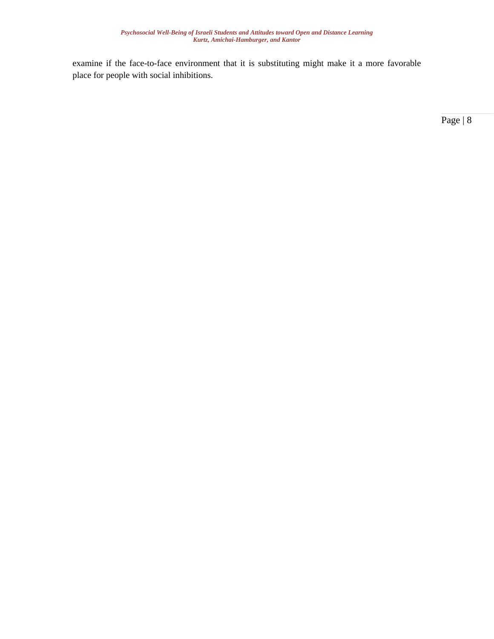examine if the face-to-face environment that it is substituting might make it a more favorable place for people with social inhibitions.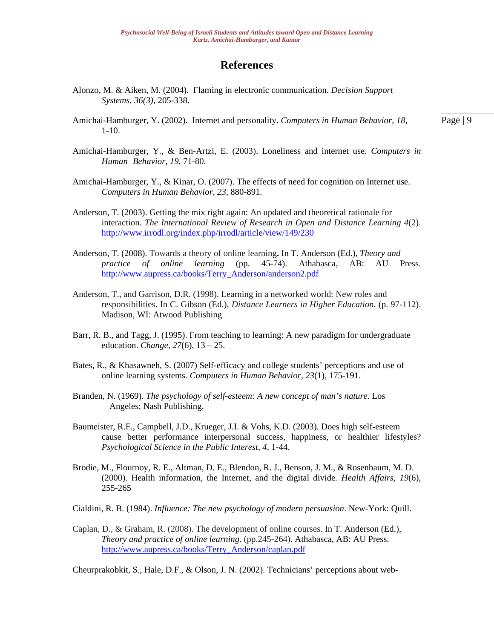#### **References**

- Alonzo, M. & Aiken, M. (2004). Flaming in electronic communication. *Decision Support Systems, 36(3)*, 205-338.
- Amichai-Hamburger, Y. (2002). Internet and personality. *Computers in Human Behavior, 18,*   $1 - 10$ .
- Amichai-Hamburger, Y., & Ben-Artzi, E. (2003). Loneliness and internet use. *Computers in Human Behavior, 19,* 71-80.
- Amichai-Hamburger, Y., & Kinar, O. (2007). The effects of need for cognition on Internet use. *Computers in Human Behavior, 23,* 880-891*.*
- Anderson, T. (2003). Getting the mix right again: An updated and theoretical rationale for interaction. *The International Review of Research in Open and Distance Learning 4*(2). <http://www.irrodl.org/index.php/irrodl/article/view/149/230>
- Anderson, T. (2008). Towards a theory of online learning**.** In T. Anderson (Ed.), *Theory and practice of online learning* (pp. 45-74). Athabasca, AB: AU Press. [http://www.aupress.ca/books/Terry\\_Anderson/anderson2.pdf](http://www.aupress.ca/books/Terry_Anderson/anderson2.pdf)
- Anderson, T., and Garrison, D.R. (1998). Learning in a networked world: New roles and responsibilities. In C. Gibson (Ed.), *Distance Learners in Higher Education.* (p. 97-112). Madison, WI: Atwood Publishing
- Barr, R. B., and Tagg, J. (1995). From teaching to learning: A new paradigm for undergraduate education. *Change, 27*(6), 13 – 25.
- Bates, R., & Khasawneh, S. (2007) Self-efficacy and college students' perceptions and use of online learning systems. *Computers in Human Behavior, 23*(1), 175-191.
- Branden, N. (1969). *The psychology of self-esteem: A new concept of man's nature.* Los Angeles: Nash Publishing.
- Baumeister, R.F., Campbell, J.D., Krueger, J.I. & Vohs, K.D. (2003). Does high self-esteem cause better performance interpersonal success, happiness, or healthier lifestyles? *Psychological Science in the Public Interest, 4*, 1-44.
- Brodie, M., Flournoy, R. E., Altman, D. E., Blendon, R. J., Benson, J. M., & Rosenbaum, M. D. (2000). Health information, the Internet, and the digital divide*. Health Affairs*, *19*(6), 255-265
- Cialdini, R. B. (1984). *Influence: The new psychology of modern persuasion*. New-York: Quill.
- Caplan, D., & Graham, R. (2008). The development of online courses. In T. Anderson (Ed.), *Theory and practice of online learning*. (pp.245-264). Athabasca, AB: AU Press. [http://www.aupress.ca/books/Terry\\_Anderson/caplan.pdf](http://www.aupress.ca/books/Terry_Anderson/caplan.pdf)

Cheurprakobkit, S., Hale, D.F., & Olson, J. N. (2002). Technicians' perceptions about web-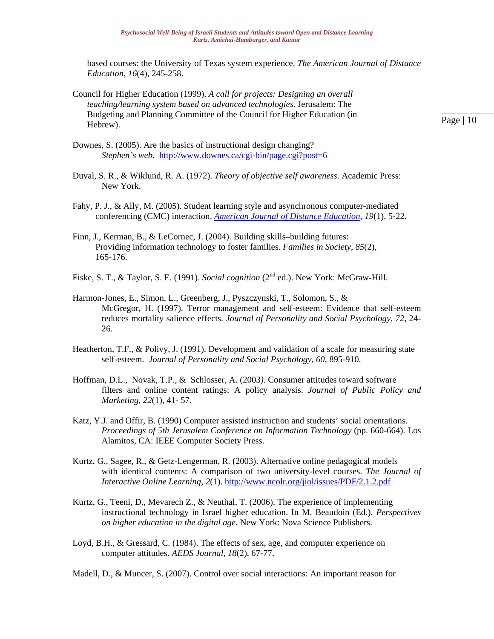based courses: the University of Texas system experience. *The American Journal of Distance Education, 16*(4), 245-258.

Council for Higher Education (1999). *A call for projects: Designing an overall teaching/learning system based on advanced technologies*. Jerusalem: The Budgeting and Planning Committee of the Council for Higher Education (in Hebrew).

- Downes, S. (2005). Are the basics of instructional design changing? *Stephen's web*. <http://www.downes.ca/cgi-bin/page.cgi?post=6>
- Duval, S. R., & Wiklund, R. A. (1972). *Theory of objective self awareness.* Academic Press: New York.
- Fahy, P. J., & Ally, M. (2005). Student learning style and asynchronous computer-mediated conferencing (CMC) interaction. *[American Journal of Distance Education](http://www.leaonline.com.ezproxy.umuc.edu/loi/ajde)*, *19*(1), 5-22.
- Finn, J., Kerman, B., & LeCornec, J. (2004). Building skills–building futures: Providing information technology to foster families. *Families in Society, 85*(2), 165-176.
- Fiske, S. T., & Taylor, S. E. (1991). *Social cognition* (2<sup>nd</sup> ed.). New York: McGraw-Hill.
- Harmon-Jones, E., Simon, L., Greenberg, J., Pyszczynski, T., Solomon, S., & McGregor, H. (1997). Terror management and self-esteem: Evidence that self-esteem reduces mortality salience effects. *Journal of Personality and Social Psychology, 72*, 24- 26.
- Heatherton, T.F., & Polivy, J. (1991). Development and validation of a scale for measuring state self-esteem. *Journal of Personality and Social Psychology*, *60*, 895-910.
- Hoffman, D.L., Novak, T.P., & Schlosser, A. (2003*)*. Consumer attitudes toward software filters and online content ratings: A policy analysis. *Journal of Public Policy and Marketing, 22*(1), 41- 57.
- Katz, Y.J. and Offir, B. (1990) Computer assisted instruction and students' social orientations. *Proceedings of 5th Jerusalem Conference on Information Technology* (pp. 660-664). Los Alamitos, CA: IEEE Computer Society Press.
- Kurtz, G., Sagee, R., & Getz-Lengerman, R. (2003). Alternative online pedagogical models with identical contents: A comparison of two university-level courses. *The Journal of Interactive Online Learning*, *2*(1). <http://www.ncolr.org/jiol/issues/PDF/2.1.2.pdf>
- Kurtz, G., Teeni, D., Mevarech Z., & Neuthal, T. (2006). The experience of implementing instructional technology in Israel higher education. In M. Beaudoin (Ed.), *Perspectives on higher education in the digital age.* New York: Nova Science Publishers.
- Loyd, B.H., & Gressard, C. (1984). The effects of sex, age, and computer experience on computer attitudes. *AEDS Journal, 18*(2), 67-77.
- Madell, D., & Muncer, S. (2007). Control over social interactions: An important reason for